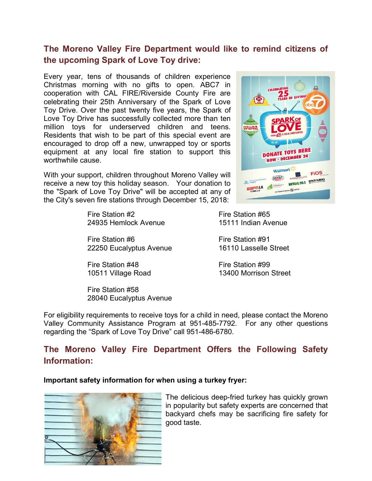# **The Moreno Valley Fire Department would like to remind citizens of the upcoming Spark of Love Toy drive:**

Every year, tens of thousands of children experience Christmas morning with no gifts to open. ABC7 in cooperation with CAL FIRE/Riverside County Fire are celebrating their 25th Anniversary of the Spark of Love Toy Drive. Over the past twenty five years, the Spark of Love Toy Drive has successfully collected more than ten million toys for underserved children and teens. Residents that wish to be part of this special event are encouraged to drop off a new, unwrapped toy or sports equipment at any local fire station to support this worthwhile cause.

With your support, children throughout Moreno Valley will receive a new toy this holiday season. Your donation to the "Spark of Love Toy Drive" will be accepted at any of the City's seven fire stations through December 15, 2018:

> Fire Station #2 Fire Station #65 24935 Hemlock Avenue 15111 Indian Avenue

Fire Station #6 Fire Station #91 22250 Eucalyptus Avenue 16110 Lasselle Street

Fire Station #48 Fire Station #99

Fire Station #58 28040 Eucalyptus Avenue

**DONATE TOYS HERE ONAIL TOTAGER 24** Malma **FIOS MATHISSIONERS** ONTARIO  $\overline{\text{min}}$ DPAPER

10511 Village Road 13400 Morrison Street

For eligibility requirements to receive toys for a child in need, please contact the Moreno Valley Community Assistance Program at 951-485-7792. For any other questions regarding the "Spark of Love Toy Drive" call 951-486-6780.

# **The Moreno Valley Fire Department Offers the Following Safety Information:**

#### **Important safety information for when using a turkey fryer:**



The delicious deep-fried turkey has quickly grown in popularity but safety experts are concerned that backyard chefs may be sacrificing fire safety for good taste.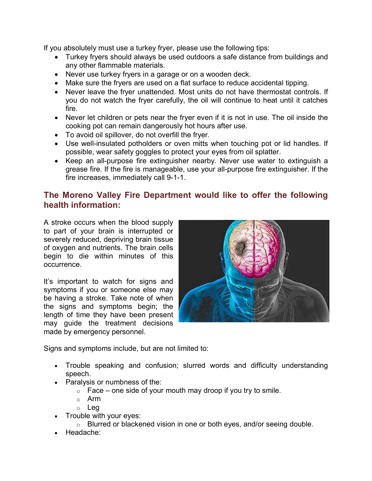If you absolutely must use a turkey fryer, please use the following tips:

- Turkey fryers should always be used outdoors a safe distance from buildings and any other flammable materials.
- Never use turkey fryers in a garage or on a wooden deck.
- Make sure the fryers are used on a flat surface to reduce accidental tipping.
- Never leave the fryer unattended. Most units do not have thermostat controls. If you do not watch the fryer carefully, the oil will continue to heat until it catches fire.
- Never let children or pets near the fryer even if it is not in use. The oil inside the cooking pot can remain dangerously hot hours after use.
- To avoid oil spillover, do not overfill the fryer.
- Use well-insulated potholders or oven mitts when touching pot or lid handles. If possible, wear safety goggles to protect your eyes from oil splatter.
- Keep an all-purpose fire extinguisher nearby. Never use water to extinguish a grease fire. If the fire is manageable, use your all-purpose fire extinguisher. If the fire increases, immediately call 9-1-1.

# **The Moreno Valley Fire Department would like to offer the following health information:**

A stroke occurs when the blood supply to part of your brain is interrupted or severely reduced, depriving brain tissue of oxygen and nutrients. The brain cells begin to die within minutes of this occurrence.

It's important to watch for signs and symptoms if you or someone else may be having a stroke. Take note of when the signs and symptoms begin; the length of time they have been present may guide the treatment decisions made by emergency personnel.



Signs and symptoms include, but are not limited to:

- Trouble speaking and confusion; slurred words and difficulty understanding speech.
- Paralysis or numbness of the:
	- $\circ$  Face one side of your mouth may droop if you try to smile.
	- o Arm
	- o Leg
- Trouble with your eyes:
	- o Blurred or blackened vision in one or both eyes, and/or seeing double.
- Headache: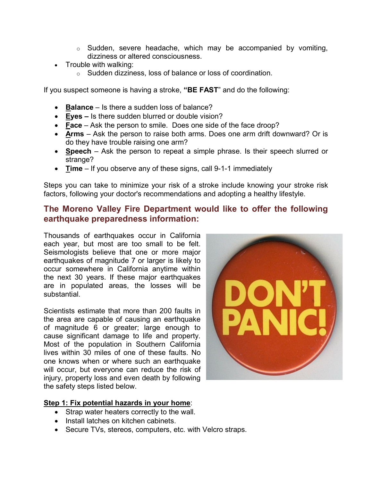- $\circ$  Sudden, severe headache, which may be accompanied by vomiting, dizziness or altered consciousness.
- Trouble with walking:
	- o Sudden dizziness, loss of balance or loss of coordination.

If you suspect someone is having a stroke, **"BE FAST**" and do the following:

- **Balance** Is there a sudden loss of balance?
- **Eyes –** Is there sudden blurred or double vision?
- **Face** Ask the person to smile. Does one side of the face droop?
- **Arms** Ask the person to raise both arms. Does one arm drift downward? Or is do they have trouble raising one arm?
- **Speech** Ask the person to repeat a simple phrase. Is their speech slurred or strange?
- **Time** If you observe any of these signs, call 9-1-1 immediately

Steps you can take to minimize your risk of a stroke include knowing your stroke risk factors, following your doctor's recommendations and adopting a healthy lifestyle.

## **The Moreno Valley Fire Department would like to offer the following earthquake preparedness information:**

Thousands of earthquakes occur in California each year, but most are too small to be felt. Seismologists believe that one or more major earthquakes of magnitude 7 or larger is likely to occur somewhere in California anytime within the next 30 years. If these major earthquakes are in populated areas, the losses will be substantial.

Scientists estimate that more than 200 faults in the area are capable of causing an earthquake of magnitude 6 or greater; large enough to cause significant damage to life and property. Most of the population in Southern California lives within 30 miles of one of these faults. No one knows when or where such an earthquake will occur, but everyone can reduce the risk of injury, property loss and even death by following the safety steps listed below.



### **Step 1: Fix potential hazards in your home**:

- Strap water heaters correctly to the wall.
- Install latches on kitchen cabinets.
- Secure TVs, stereos, computers, etc. with Velcro straps.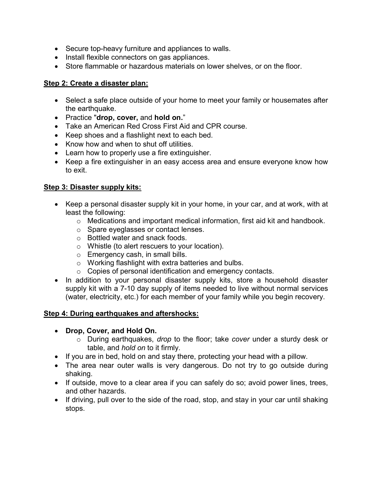- Secure top-heavy furniture and appliances to walls.
- Install flexible connectors on gas appliances.
- Store flammable or hazardous materials on lower shelves, or on the floor.

### **Step 2: Create a disaster plan:**

- Select a safe place outside of your home to meet your family or housemates after the earthquake.
- Practice "**drop, cover,** and **hold on.**"
- Take an American Red Cross First Aid and CPR course.
- Keep shoes and a flashlight next to each bed.
- Know how and when to shut off utilities.
- Learn how to properly use a fire extinguisher.
- Keep a fire extinguisher in an easy access area and ensure everyone know how to exit.

### **Step 3: Disaster supply kits:**

- Keep a personal disaster supply kit in your home, in your car, and at work, with at least the following:
	- o Medications and important medical information, first aid kit and handbook.
	- o Spare eyeglasses or contact lenses.
	- o Bottled water and snack foods.
	- o Whistle (to alert rescuers to your location).
	- o Emergency cash, in small bills.
	- o Working flashlight with extra batteries and bulbs.
	- o Copies of personal identification and emergency contacts.
- In addition to your personal disaster supply kits, store a household disaster supply kit with a 7-10 day supply of items needed to live without normal services (water, electricity, etc.) for each member of your family while you begin recovery.

#### **Step 4: During earthquakes and aftershocks:**

- **Drop, Cover, and Hold On.**
	- o During earthquakes, *drop* to the floor; take *cover* under a sturdy desk or table, and *hold on* to it firmly.
- If you are in bed, hold on and stay there, protecting your head with a pillow.
- The area near outer walls is very dangerous. Do not try to go outside during shaking.
- If outside, move to a clear area if you can safely do so; avoid power lines, trees, and other hazards.
- If driving, pull over to the side of the road, stop, and stay in your car until shaking stops.